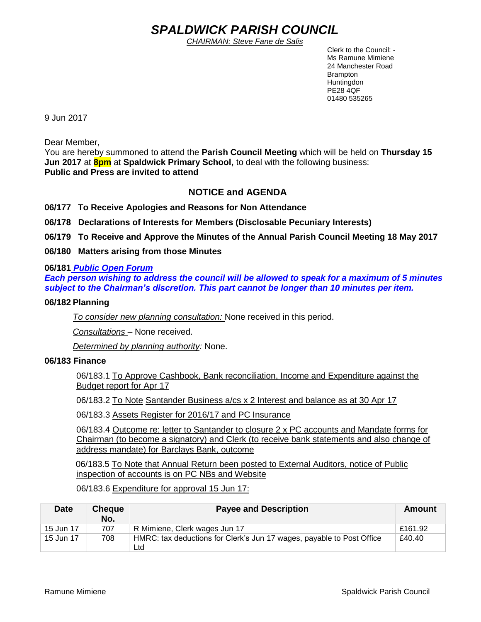# *SPALDWICK PARISH COUNCIL*

*CHAIRMAN: Steve Fane de Salis*

 Clerk to the Council: - Ms Ramune Mimiene 24 Manchester Road Brampton **Huntingdon** PE28 4QF 01480 535265

9 Jun 2017

Dear Member,

You are hereby summoned to attend the **Parish Council Meeting** which will be held on **Thursday 15 Jun 2017** at **8pm** at **Spaldwick Primary School,** to deal with the following business: **Public and Press are invited to attend**

## **NOTICE and AGENDA**

**06/177 To Receive Apologies and Reasons for Non Attendance**

**06/178 Declarations of Interests for Members (Disclosable Pecuniary Interests)**

**06/179 To Receive and Approve the Minutes of the Annual Parish Council Meeting 18 May 2017**

**06/180 Matters arising from those Minutes**

### **06/181** *Public Open Forum*

*Each person wishing to address the council will be allowed to speak for a maximum of 5 minutes subject to the Chairman's discretion. This part cannot be longer than 10 minutes per item.* 

#### **06/182 Planning**

*To consider new planning consultation:* None received in this period.

*Consultations* – None received.

*Determined by planning authority:* None.

#### **06/183 Finance**

06/183.1 To Approve Cashbook, Bank reconciliation, Income and Expenditure against the Budget report for Apr 17

06/183.2 To Note Santander Business a/cs x 2 Interest and balance as at 30 Apr 17

06/183.3 Assets Register for 2016/17 and PC Insurance

06/183.4 Outcome re: letter to Santander to closure 2 x PC accounts and Mandate forms for Chairman (to become a signatory) and Clerk (to receive bank statements and also change of address mandate) for Barclays Bank, outcome

 06/183.5 To Note that Annual Return been posted to External Auditors, notice of Public inspection of accounts is on PC NBs and Website

06/183.6 Expenditure for approval 15 Jun 17:

| <b>Date</b> | <b>Cheque</b><br>No. | <b>Payee and Description</b>                                                 | Amount  |
|-------------|----------------------|------------------------------------------------------------------------------|---------|
| 15 Jun 17   | 707                  | R Mimiene, Clerk wages Jun 17                                                | £161.92 |
| 15 Jun 17   | 708                  | HMRC: tax deductions for Clerk's Jun 17 wages, payable to Post Office<br>Ltd | £40.40  |